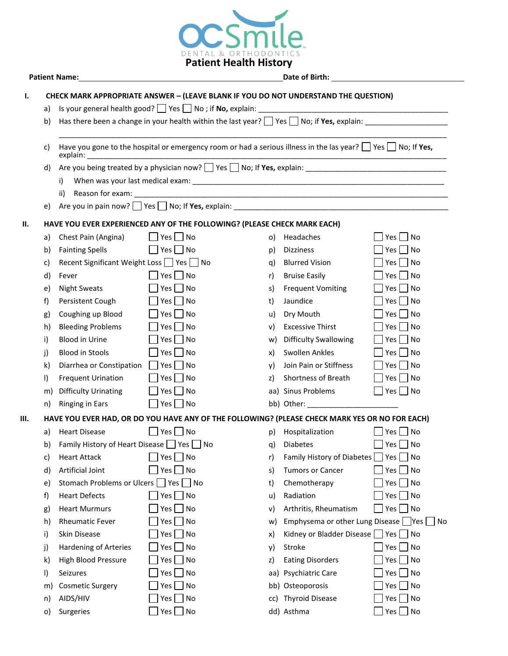

| Patient Name:                                                                                    |                                                                                                                                                                                                                                     |                                                                                                                         |                                                                    |    |                                       |                                    |  |  |  |  |  |  |
|--------------------------------------------------------------------------------------------------|-------------------------------------------------------------------------------------------------------------------------------------------------------------------------------------------------------------------------------------|-------------------------------------------------------------------------------------------------------------------------|--------------------------------------------------------------------|----|---------------------------------------|------------------------------------|--|--|--|--|--|--|
| <b>CHECK MARK APPROPRIATE ANSWER - (LEAVE BLANK IF YOU DO NOT UNDERSTAND THE QUESTION)</b><br>Ι. |                                                                                                                                                                                                                                     |                                                                                                                         |                                                                    |    |                                       |                                    |  |  |  |  |  |  |
|                                                                                                  | Is your general health good? See Section No ; if No, explain: Section Management Communication of the section of the section of the section of the section of the section of the section of the section of the section of the<br>a) |                                                                                                                         |                                                                    |    |                                       |                                    |  |  |  |  |  |  |
|                                                                                                  | b)                                                                                                                                                                                                                                  | Has there been a change in your health within the last year? $\Box$ Yes $\Box$ No; if Yes, explain:                     |                                                                    |    |                                       |                                    |  |  |  |  |  |  |
|                                                                                                  | c)                                                                                                                                                                                                                                  | Have you gone to the hospital or emergency room or had a serious illness in the las year? $\Box$ Yes $\Box$ No; If Yes, |                                                                    |    |                                       |                                    |  |  |  |  |  |  |
|                                                                                                  | d)                                                                                                                                                                                                                                  |                                                                                                                         |                                                                    |    |                                       |                                    |  |  |  |  |  |  |
|                                                                                                  |                                                                                                                                                                                                                                     | i)                                                                                                                      |                                                                    |    |                                       |                                    |  |  |  |  |  |  |
|                                                                                                  |                                                                                                                                                                                                                                     | ii)                                                                                                                     |                                                                    |    |                                       |                                    |  |  |  |  |  |  |
|                                                                                                  | e)                                                                                                                                                                                                                                  |                                                                                                                         | Are you in pain now? $\Box$ Yes $\Box$ No; If Yes, explain: $\Box$ |    |                                       |                                    |  |  |  |  |  |  |
| Н.                                                                                               |                                                                                                                                                                                                                                     | HAVE YOU EVER EXPERIENCED ANY OF THE FOLLOWING? (PLEASE CHECK MARK EACH)                                                |                                                                    |    |                                       |                                    |  |  |  |  |  |  |
|                                                                                                  | a)                                                                                                                                                                                                                                  | Chest Pain (Angina)                                                                                                     | $\Box$ Yes $\Box$ No                                               | O) | Headaches                             | Yes<br>$\overline{\phantom{a}}$ No |  |  |  |  |  |  |
|                                                                                                  | b)                                                                                                                                                                                                                                  | <b>Fainting Spells</b>                                                                                                  | $\Box$ Yes $\Box$ No                                               | p) | <b>Dizziness</b>                      | No<br>Yes                          |  |  |  |  |  |  |
|                                                                                                  | c)                                                                                                                                                                                                                                  | Recent Significant Weight Loss TYes No                                                                                  |                                                                    | q) | <b>Blurred Vision</b>                 | No<br>Yes                          |  |  |  |  |  |  |
|                                                                                                  | d)                                                                                                                                                                                                                                  | Fever                                                                                                                   | $Yes \mid \text{No}$                                               | r) | <b>Bruise Easily</b>                  | <b>No</b><br>Yes                   |  |  |  |  |  |  |
|                                                                                                  | e)                                                                                                                                                                                                                                  | <b>Night Sweats</b>                                                                                                     | $Yes \mid \text{No}$                                               | s) | <b>Frequent Vomiting</b>              | N <sub>O</sub><br>Yes              |  |  |  |  |  |  |
|                                                                                                  | f)                                                                                                                                                                                                                                  | Persistent Cough                                                                                                        | $Yes \mid \text{No}$                                               | t) | Jaundice                              | No<br>Yes                          |  |  |  |  |  |  |
|                                                                                                  | g)                                                                                                                                                                                                                                  | Coughing up Blood                                                                                                       | $\overline{\phantom{a}}$ No<br>Yes                                 | u) | Dry Mouth                             | Yes<br>$\overline{\phantom{a}}$ No |  |  |  |  |  |  |
|                                                                                                  | h)                                                                                                                                                                                                                                  | <b>Bleeding Problems</b>                                                                                                | No<br>Yes                                                          | v) | <b>Excessive Thirst</b>               | $\overline{\phantom{a}}$ No<br>Yes |  |  |  |  |  |  |
|                                                                                                  | i)                                                                                                                                                                                                                                  | <b>Blood in Urine</b>                                                                                                   | No<br>Yes $ $                                                      | w) | <b>Difficulty Swallowing</b>          | No<br>Yes                          |  |  |  |  |  |  |
|                                                                                                  | j)                                                                                                                                                                                                                                  | <b>Blood in Stools</b>                                                                                                  | No<br>Yes $\vert$ $\vert$                                          | x) | Swollen Ankles                        | No<br>Yes                          |  |  |  |  |  |  |
|                                                                                                  | k)                                                                                                                                                                                                                                  | Diarrhea or Constipation                                                                                                | $Yes \mid \text{No}$<br>$\perp$                                    | y) | Join Pain or Stiffness                | Yes  <br>No.                       |  |  |  |  |  |  |
|                                                                                                  | I)                                                                                                                                                                                                                                  | <b>Frequent Urination</b>                                                                                               | $Yes \mid \text{No}$                                               | z) | Shortness of Breath                   | N <sub>O</sub><br>Yes              |  |  |  |  |  |  |
|                                                                                                  | m)                                                                                                                                                                                                                                  | <b>Difficulty Urinating</b>                                                                                             | $Yes \mid \text{No}$                                               |    | aa) Sinus Problems                    | $\Box$ Yes $\Box$ No               |  |  |  |  |  |  |
|                                                                                                  | n)                                                                                                                                                                                                                                  | Ringing in Ears                                                                                                         | $Yes \nightharpoonup No$                                           |    |                                       |                                    |  |  |  |  |  |  |
| Ш.                                                                                               | HAVE YOU EVER HAD, OR DO YOU HAVE ANY OF THE FOLLOWING? (PLEASE CHECK MARK YES OR NO FOR EACH)                                                                                                                                      |                                                                                                                         |                                                                    |    |                                       |                                    |  |  |  |  |  |  |
|                                                                                                  | a)                                                                                                                                                                                                                                  | <b>Heart Disease</b>                                                                                                    | $\Box$ Yes $\Box$ No                                               | p) | Hospitalization                       | Yes     No                         |  |  |  |  |  |  |
|                                                                                                  | b)                                                                                                                                                                                                                                  | Family History of Heart Disease   Yes   No                                                                              |                                                                    | q) | <b>Diabetes</b>                       | $\neg$ No<br>Yes [                 |  |  |  |  |  |  |
|                                                                                                  | c)                                                                                                                                                                                                                                  | <b>Heart Attack</b>                                                                                                     | $Yes \Box No$                                                      | r) | Family History of Diabetes            | $\blacksquare$ No<br>Yes           |  |  |  |  |  |  |
|                                                                                                  | d)                                                                                                                                                                                                                                  | Artificial Joint                                                                                                        | No<br>$Yes$                                                        | s) | <b>Tumors or Cancer</b>               | N <sub>O</sub><br>Yes              |  |  |  |  |  |  |
|                                                                                                  | e)                                                                                                                                                                                                                                  | Stomach Problems or Ulcers   Yes                                                                                        | No                                                                 | t) | Chemotherapy                          | Yes<br>$\overline{\phantom{a}}$ No |  |  |  |  |  |  |
|                                                                                                  | f)                                                                                                                                                                                                                                  | <b>Heart Defects</b>                                                                                                    | $Yes \mid No$                                                      | u) | Radiation                             | N <sub>O</sub><br>Yes              |  |  |  |  |  |  |
|                                                                                                  | g)                                                                                                                                                                                                                                  | <b>Heart Murmurs</b>                                                                                                    | No<br>Yes $\vert$ $\vert$                                          | V) | Arthritis, Rheumatism                 | Yes  <br><b>No</b>                 |  |  |  |  |  |  |
|                                                                                                  | h)                                                                                                                                                                                                                                  | <b>Rheumatic Fever</b>                                                                                                  | No<br>Yes                                                          | W) | Emphysema or other Lung Disease   Yes | No                                 |  |  |  |  |  |  |
|                                                                                                  | i)                                                                                                                                                                                                                                  | Skin Disease                                                                                                            | No<br>Yes $\lceil$                                                 | X) | Kidney or Bladder Disease   Yes   No  |                                    |  |  |  |  |  |  |
|                                                                                                  | j)                                                                                                                                                                                                                                  | Hardening of Arteries                                                                                                   | No<br>Yes                                                          | y) | Stroke                                | N <sub>O</sub><br>Yes              |  |  |  |  |  |  |
|                                                                                                  | k)                                                                                                                                                                                                                                  | High Blood Pressure                                                                                                     | No<br>Yes                                                          | z) | <b>Eating Disorders</b>               | Yes<br>No                          |  |  |  |  |  |  |
|                                                                                                  | I)                                                                                                                                                                                                                                  | Seizures                                                                                                                | No<br>Yes l                                                        |    | aa) Psychiatric Care                  | No<br>Yes                          |  |  |  |  |  |  |
|                                                                                                  | m)                                                                                                                                                                                                                                  | <b>Cosmetic Surgery</b>                                                                                                 | No<br>Yes                                                          |    | bb) Osteoporosis                      | No<br>Yes                          |  |  |  |  |  |  |
|                                                                                                  | n)                                                                                                                                                                                                                                  | AIDS/HIV                                                                                                                | No<br>Yes                                                          |    | cc) Thyroid Disease                   | Yes<br>$\blacksquare$ No           |  |  |  |  |  |  |
|                                                                                                  | $\circ)$                                                                                                                                                                                                                            | Surgeries                                                                                                               | No<br>Yes $\Box$                                                   |    | dd) Asthma                            | No<br>Yes                          |  |  |  |  |  |  |